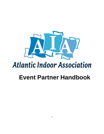

# **Atlantic Indoor Association**

# **Event Partner Handbook**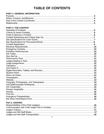# **TABLE OF CONTENTS**

#### **PART 1: GENERAL INFORMATION** Purpose……………………………………………………………………………………………………….**4** Ethics, Conduct, and Behavior…………………………………………………………………………….. **4** Role of the Contest Coordinator……………………………………………………………………………**4** Relationship…………………………………………………………………………………………………..**5**

# **PART 2: THE CONTEST**

| Warm Up Areas……………………………………………………………………………………………13 |  |
|----------------------------------------------------|--|
|                                                    |  |
|                                                    |  |
|                                                    |  |
|                                                    |  |
|                                                    |  |
|                                                    |  |
|                                                    |  |
|                                                    |  |
|                                                    |  |
|                                                    |  |

# **Part 3: JUDGING**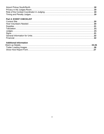# **Part 4: EVENT CHECKLIST**

# **Additional Information**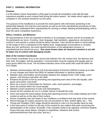# **PART 1: GENERAL INFORMATION**

#### **Purpose**

It is the Atlantic Indoor Association's (AIA) goal to provide all competitive units with the best experience possible at each contest held during the indoor season. No matter which region a unit competes in, the contests should be run the same.

The purpose of this handbook is to provide the event partner with information pertaining to the partnership between AIA and the event partner as well as set forth standardized procedures to help event partners understand AIA's requirements for running a contest; allowing all participating units to have the same competitive experience.

#### **Ethics, Conduct, and Behavior**

All representatives of AIA are expected to behave in an exemplary manner and be an example for the participants we serve. Courtesy, clean language, high standards, appearance, and personal conduct in and around a contest should be above reproach. Care should be taken in social settings so the image of AIA is maintained at the highest level. Inappropriate conversations or remarks, about any unit, performers, the event partner/volunteers or the adjudication process, is unprofessional and should not occur. **One never knows when an innocent comment or act will be taken out of context with damaging results.**

#### **Role of the Contest Coordinator**

The Contest Coordinator (CC) is the service link between AIA, the contest host, the directors and their units, the judges, and the spectators. Communication must be ongoing and equally open to every group within the circuit. The list below indicates some of the areas that could fall within the CC's duties:

- Maintain communication with the AIA Executive Board of Directors (EBOD) to keep up to date on any changes and inform the EBOD of needed information or adverse situations.
- Maintain open and healthy communication between the Judging Panel, Chief Judge, event partner, unit Directors and other AIA Staff.
- Enhance the growth of AIA by promoting and supporting each area of the arts equally; color guard, percussion, and winds.
- Serve as a source of information for Directors, units, event partners, and judges.
- Serve all contests within the circuit equally.
- Maintain current awareness of rules and interpretations.
- Assure all AIA contests are run in a similar manner to benefit the units.
- Serve and assist the event partner during their planning process in the weeks leading up to their contest as well as on the day of their contest.
- Assure competing units are aware of any conditions or problems that may arise at the contest.
- Record damage at contest caused by any unit (scratches on floor, broken lights, etc.). The Timing and Penalties (T&P) Judge should be directed to note it on the penalty sheet as well.
- Is the main point of contact on the day of the contest for any matters that arise concerning the administration of the contest. (Example: If the schedule needs to be adjusted, inclement weather issues that may cause delays, changes to maps/flows, situations that involve performers/directors that may arise, and etc.)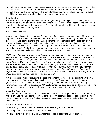- Will make themselves available to meet with each event partner and their booster organization at any time to ensure they are prepared and comfortable with the task of running an event.
- Will provide each event partner with a reminder list during the week leading up to your event. This list consists of last-minute items event partners may forget.

#### **Relationship**

AIA would like to thank you, the event partner, for graciously offering your facility and your many volunteers so that we can provide the young performers with educational, positive, and competitive experiences throughout the indoor season. Only through our relationships with the event hosts can AIA continue to grow as an organization.

#### **Part 2: THE CONTEST**

An AIA contest is one of the most significant events of the indoor pageantry season. Many units will experience AIA or the indoor activity in general for the first time in this setting. Parents, boosters, sponsors, school administrators, and fans will form their first impression of this organization at a contest. This first impression can have a lasting impact on their future participation. The professionalism with which a contest is run is paramount. The following philosophy statement is applied at the WGI World Championships and should also be applied at each contest sanctioned by AIA. This statement has been modified to reference AIA as appropriate.

*"AIA's contest personnel are assigned to serve the needs of participating units before, during, and after their competitive appearance. Units are not here to serve us. Our objective is to have each unit prepared and ready to compete on time, and to make their competitive experience with us an enjoyable one. The contest experience is not designed to be a series of arbitrarily arranged steps. We allow as much flexibility as possible for participating units while remaining fair and consistent to all. We do, however, expect all units to respect each other's rights. It will never be our intent to appear autocratic or insensitive while continuing to recognize the need to run an efficient and appropriately controlled event. All units will be treated in a fair and consistent manner regardless of class, accomplishment or geographic representation."*

AIA's success is directly attributed to the care and concern shown for the participating units on all competitive levels. We expect this to continue and be manifested at all contests. As a general guideline for contest conduct and how to handle any unforeseen problem, use your own good judgment or check with the appropriate AIA Staff member/representative as quickly as possible. The information below will assist you in the consistent administration of your contest(s).

#### **Awarding Contests**

Final decision as to where a contest is located rests with the AIA Regional EBOD. There are many factors involved when selecting the event partners for an upcoming season. No decision is ever made on a personal basis and final decisions are never easy as those not selected will surely be disappointed.

#### **Criteria to Award Contests**

The following considerations are reviewed when selecting an event partner:

- Completeness of the event partner application.
- Timestamp in the event that a parameter is needed to determine a host location.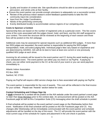- Quality and location of contest site. Site specifications should be able to accommodate guard, percussion, and winds units at their facility.
- Ensure the event partner can provide enough volunteers to adequately run a successful contest.
- Review of the previous indoor season's event feedback questionnaires to take the AIA community input into consideration.
- Input from the Judge Coordinators.
- Needs of the performing community.
- Evenly distributed locality to accommodate various regions of our competing units.

#### **Costs to Sponsor a Contest**

Sponsorship fees are based on the number of registered units at a particular event. This fee covers some of the costs associated with the judges (travel, hotel, and fees), and the AIA staff assigned to your contest. The event fee structure will be reviewed at the beginning of each season and those fees will be posted on the AIA webpage.

Additional costs may be assessed for special requests such as additional WGI judges. If more than two WGI judges are requested, the event partner is responsible for paying the WGI judges' transportation, hotel, and extra judging fees. Individual judge's fees vary based on experience and are determined by AIA/WGI. AIA will do its best to have at least one current or one previously qualified WGI judge at each show.

Invoicing for all contests will be issued to the event partner and CC during the week leading up to your scheduled event. The event partner can either pay via check or via PayPal. If paying by check, you can either remit payment to the CC at the end of your event or you can send payment immediately to:

Atlantic Indoor Association PO Box 2929 Sanford, NC 27331

Paying via PayPal will require a \$50 service charge due to fees associated with paying via PayPal.

The event partner is responsible for the cost of awards. This cost will be reflected in the final invoice for your contest. Please see "Awards" section below for costs.

#### **Contest Scheduling and Critique Sign Up**

A **draft** schedule for a contest will be posted on the AIA website under the event partner's event page no later than three Mondays prior to the contest date. An announcement will be posted on the AIA Facebook page as well as thru Competition Suite (CS) messaging when the draft schedule is posted.

A final schedule will be posted on the event partner's event page on the Wednesday before their event. Notification of the final schedule will be posted on the AIA Facebook page and CS. Any changes after Wednesday will be immediately communicated with the event partner and schedule adjustments will be handled on the day of the event. The CC will provide the event partner with the most current copy of the schedule for copies and placement in the unit check in packets.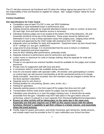The CC will also announce via Facebook and CS when the critique signup has gone live in CS. It is the responsibility of the unit Directors to register for critique. See "Judges Critique" below for more information.

#### **Contest Guidelines**

#### **Site Specifications for Color Guard:**

- Competition area at least 70'x100' in size, per WGI Guidelines.
- Capability to raise basketball hoops in performance area.
- Seating should be adequate for expected attendance based on date on contest, at least nine (9) rows high, front and back bleacher access is necessary.
- Individual Analysis judges are to be located at the bottom third of the bleachers. GE and Ensemble should be at the top of the bleachers. These areas should be defined and delineated in such a way to keep spectators away from judging area. Judging areas will be reviewed and approved by the Chief Judge with assistance from T&P Judge.
- Adequate warm-up facilities for body and equipment. Equipment warm-up area should have 20 ft.+ ceilings (i.e. aux gym, auditorium)
- Large area for prop storage. It is recommended that this area is indoors or sheltered.
- Area for equipment and prop inspection.
- Area for floor refolding after performance; preferably inside.
- Separate entrance to performance area for performers and spectators.
- Locker rooms or classroom for units to change clothing. Must be separate for male and female performers.
- Private or non-general use restroom facilities should be available for the judges and contest personnel.
- Private room for judges/AIA staff with food and drink.
- A concession stand or snack bar available during contest time.
- Area for unit booster tables with spectator traffic. All member units (participating in contest on contest day) can sell souvenir merchandise at all AIA sanctioned events at no charge (finals excluded) - food items excluded. Non-AIA members may be charged a vendor fee at the show sponsor's discretion.
- Separate area for unit check in.
- Parking facilities for unit parking. (Buses, vans, trucks, etc.)
- Parking for spectators.
- Separate parking spaces in the front roped off for judges that drive and AIA staff.
- Transportation to/from hotel and/or airport for judges may be requested by CC.
- Tabulation area should be in or near the judges meeting room. It should also be easily accessible from the gym. Tabulation may NOT take place in the gym where units are performing, unless it is placed in a room separate from Directors/staff/performers/spectators.
- **Ensure no other activity will be taking place on the same day in the same area. Especially one that also requires use of WiFi as this causes issues with the tablets functions, Director's capability to get their critique in a timely manner, and essentially slows the event process.**
- Facility maps for guard, percussion, and winds movement, gym timing line, facility pictures, and outside maps must be provided to the CC upon notification your school has been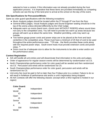selected to host a contest, if this information was not already provided during the host application process. It is imperative that these items are provided immediately so competing schools can see the lay of the land prior to arrival at the school on the day of the event.

#### **Site Specifications for Percussion/Winds:**

Same as color guard specifications with the following exceptions:

- Music Analysis judges should be located within the  $5<sup>th</sup>$  through  $8<sup>th</sup>$  row from the floor.
- General Effect judges, Visual Analysis judges and Sound Engineer seating should be in the top of the arena unless directed differently by the Chief Judge.
- Adequate warm up rooms (band room, choral room WITHOUT RISERS) where sound does not carry to the competition area. You will need to provide two warm-up areas because two groups will warm up at about the same time. Weather permitting, units may warm up outside.
- Two twelve-gauge power cords and power strips are to be placed at the front and back centerline in the competition area. These must have a minimum of 25 feet of cord to be used throughout the entire performance area. \*\*Of note…the North provides these cords along with the required power strips. South event hosts must provide extension cords and power strips. \*\*
- Doors must be of adequate size to allow for the instruments to be able to enter and/or exit the performance areas.

# **Contest Registration**

- AIA will handle all unit entries and will disseminate final information to the units and judges.
- Order of appearance for regular season events will be determined by randomization via CS.
- North Championships performance order for color guard will be seeded and then randomized via CS. Percussion and winds will be randomized via CS.
- South Championships performance order for color quard, percussion and winds will be randomized via CS.
- Unit entry fee must be paid in full no later than four Fridays prior to a contest. Failure to do so will result in forfeiture of performance slot and/or a unit's registration being dropped.
- All AIA Contests will offer the following classes: (except when a WGI regional is hosted in our region)

| <b>Color Guard:</b> |             |
|---------------------|-------------|
| IW                  | Independent |
| World               |             |
| IO                  | Independent |
| Open                |             |
| IS                  | Independent |
| Senior              |             |
| IΑ                  | Independent |
| A                   |             |
| <b>SW</b>           | Scholastic  |
| World               |             |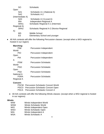| Scholastic                               |
|------------------------------------------|
|                                          |
| Scholastic A-1 (National A)              |
| Scholastic A-2                           |
| (Intermediate A)                         |
| Scholastic A-3 (Local A)                 |
| Independent Regional A                   |
| Scholastic Regional A-1 (Intermed.       |
|                                          |
| Scholastic Regional A-2 (Novice Regional |
|                                          |
| Middle School                            |
| <b>Elementary School and younger</b>     |
|                                          |

● All AIA contests will offer the following Percussion classes: (except when a WGI regional is hosted in our region)

| Marching:   |                              |
|-------------|------------------------------|
| PIW         | Percussion Independent       |
| World       |                              |
| PIO         | Percussion Independent       |
| Open        |                              |
| PIA         | Percussion Independent       |
| A           |                              |
| <b>PSW</b>  | <b>Percussion Scholastic</b> |
| World       |                              |
| <b>PSO</b>  | <b>Percussion Scholastic</b> |
| Open        |                              |
| <b>PSA</b>  | <b>Percussion Scholastic</b> |
| National A  |                              |
| <b>PSRA</b> | <b>Percussion Scholastic</b> |
| Regional A  |                              |

# **Concert:**

| <b>PSCW</b> Percussion Scholastic Concert World |
|-------------------------------------------------|
| <b>PSCO</b> Percussion Scholastic Concert Open  |
| <b>PSCA</b> Percussion Scholastic Concert A     |

● All AIA contests will offer the following Winds classes: (except when a WGI regional is hosted in our regions)

#### **Winds:**

| <b>WSW</b><br><b>Winds Scholastic World</b><br><b>WIO</b><br>Winds Independent Open<br><b>WSO</b><br><b>Winds Scholastic Open</b><br>Winds Independent A<br><b>WIA</b><br><b>WSA</b><br><b>Winds Scholastic A</b> | <b>WIW</b> | Winds Independent World |
|-------------------------------------------------------------------------------------------------------------------------------------------------------------------------------------------------------------------|------------|-------------------------|
|                                                                                                                                                                                                                   |            |                         |
|                                                                                                                                                                                                                   |            |                         |
|                                                                                                                                                                                                                   |            |                         |
|                                                                                                                                                                                                                   |            |                         |
|                                                                                                                                                                                                                   |            |                         |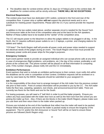● The deadline date for contest entries will be 21 days (or 4 Fridays) prior to the contest date. All deadlines for contest entries will be strictly enforced. **THERE WILL BE NO EXCEPTIONS.**

#### **Electrical Requirements**

The contest area must have two dedicated 120V outlets; centered in the front and rear of the competition floor. A power strip or splitter **will not** support the electrical needs and is not a substitute for meeting power requirements. Please alert the CC if you cannot provide the required power.

In addition to the two outlets noted above, another separate circuit is needed for the Sound Tech and Announcer table at the front of the competition area and at the back for the AIA speakers. Neither of these outlets have to be located at the "center" of the competition area.

The CC will require power to the bleachers to allow the judges tablets to be plugged in all day. In the North, the CC requires sufficient power outlets to run 1-2 laptops, a printer, and charging stations for tablets and radios.

\*\*Of Note\*\* The North Region staff will provide all power cords and power strips needed to support the electrical needs of the judges during an event. The South Region show host must provide the necessary power cords and power strips for the judge's purposes.

#### **Emergency Contacts**

Each event partner needs to provide an assigned individual who can accept phone calls at any time in case of emergencies (flight problems, unit problems, etc.) the day of the contest, preferably a cell phone at the contest site. This phone number will be placed on all final information to competing units. If this number changes, please notify AIA and the CC immediately.

#### **Exhibition Performances**

Event partners that wish to include an exhibition performance to their contest, must notify AIA within the deadlines set for units in competition at their contest. Exhibition requests will be reviewed on a case by case basis by the EBOD. Requests should be submitted to your assigned CC.

#### **AIA Trailer**

It is the responsibility of the show host to arrange transport of the AIA trailer from the previous contest site prior to their event. Point of contact information will be provided to you by the CC. The AIA trailer holds the floor tarp, carpeting, speakers, tool chests, and announcer/sound tech table. There are currently two floors for the North and one for the South.

For towing purposes, you will need a 2" ball hitch in order to pull the trailer properly. Ensure you collect any keys associated with the trailer door lock as well as the hitch lock from the school you are picking the trailer up from. Also, if there are tire blocks in the trailer (North Region), please make sure you use them and then return them to the trailer when packed up.

Pictures are included at the end of this handbook that reflect how the trailer will need to be packed. Please follow these pictures and ensure the trailer is packed neatly to ensure the longevity of the equipment. The CC and/or the AIA Announcer or Sound Tech will be on hand to ensure these pictures are followed (North Region only).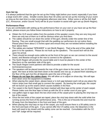#### **Gym Set Up**

It is always preferred that the gym be set up the Friday night before your event; especially if you have a large event (40+ units). Smaller events (less than 40 units) can be set up the morning of your event as long as the start time is a late morning/early afternoon start time. Either some or all the AIA Staff (CC, Announcer, and/or Sound Tech) will be at your location to assist with gym set up (North Region).

#### **Performance Floor**

If you are comfortable with setting up the performance floor on your own or you have set up the floor before, please ensure you follow these instructions on how to set it properly.

- Obtain the XLR sound cables from the pockets of the speaker covers; they are very long and there are only two of them so it will be obvious when you find them.
- The cables should be run down the center of the gym, directly under the center-line of the flooring. They are small enough that with the padding our performers do not notice them. Please place them about 2-3 inches apart and ensure they are not twisted before installing the floor above them.
- The cables are marked "SPEAKER" in red (North Region). That is the end of the cable that goes in to the speakers. Please do not hook up the speakers. The sound tech will do this upon his arrival.
- There should be enough extra cable be at the front of the gym so we can connect to the sound board, and likewise enough to the rear to connect to the speakers.
- The North Region will provide the sound table and it must be placed in the center of the bleachers on the spectator side of the gym.
- The South Region event partners will need to provide a table for the sound technician/announcer.
- The speakers will be placed towards the rear of the gym close to the center, but 10-20 feet apart. We have at times laid them down in the stands one row up, or placed them standing on the floor of the gym but this all depends upon the size of the gym.
- **Please do not tape the cables down**, this will allow us to adjust on show day. We will tape them down once the equipment is installed.
- When placing the carpet down, please leave a  $\frac{1}{4}$  inch gap between each roll as you place the Velcro strips over that small gap to connect the carpets. By leaving the small gap, the carpet will not bunch up at the seams which causes bubbles in the floor.
- The carpet in the North Region has been marked with blue tape at the center of each carpet. Please make sure the blue tape is lined up with the 50 or center court of your gym.
- Use gaffers tape to tape down the two short ends of the carpet prior to placing the vinyl tarp on top of the carpet.
- Once the two ends of the carpet are taped, place the vinyl tarp down with the solid white line running across the front of the performance area. This is the out of bounds line and must be 5ft away from the bleachers in the front and back of the gym.
- When placing the vinyl tarp on top of the carpet, you must ensure there is a 5ft safety zone in the front and back of the gym. If you cannot offer the 5 ft safety zone; the bleachers in the back will need to be closed until the safety zone can be reached. Consultation with the CC and T&P Judge will be required.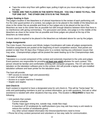- Tape the entire vinyl floor with gaffers tape; pulling it tight as you move along the edges with the tape.
- **THERE ARE TWO FLOORS IN THE NORTH TRAILER. YOU ONLY NEED TO PULL THE TOP ONE OUT. THE OTHER ONE STAYS IN THE TRAILER.**

# **Judges Seating in Gym**

The judge's location in the bleachers is of utmost importance to the review of each performing unit. For the color guard portion of a contest, two judges are to be placed in the middle of the bleachers as close to the center line as possible and three or four judges are to be placed at the top of the bleachers as near to the center line as possible but with enough distance between them that there is no interference with giving commentary. For percussion and winds, one judge is in the middle of the bleachers as close to the center line as possible and three judges are placed at the top of the bleachers as noted above.

A music stand is required to be placed in the bleachers as indicated above for use by the judges.

# **Judge Assignments**

The Color Guard, Percussion and Winds Judges Coordinators will make all judges assignments. Tentative assignments are posted at the beginning of each competitive season, final panels are posted no later than 30 days (four Fridays) prior to a contest; barring any unforeseen issues that may arise. Championships judges will be posted the week leading up to the Championships date.

# **Tabulation**

Tabulation is a crucial component of the contest and extremely important to the units and judges. Event partners are responsible for providing **at least one adult** tabulator for each contest. This person should be familiar and comfortable working with computer programs. The CC will train the tabulator on the tabulation software prior to the contest. AIA will provide a laptop with pre-installed tabulation software and laser printer for the tabulation area.

The host will provide:

- WiFi access to include login and password(s)
- A ream of white paper
- Access to a copier machine if needed
- Stapler and staples

#### **Unit Check-In**

Each contest is required to have a designated area for unit check-in. This will be "home base" for units and participating members to pick up contest information, go to with questions, first-aid or other assistance is needed with other situations that may arise. This location is **REQUIRED** to have the following:

- Unit packets that contain:
	- Current schedule

Facility maps (gym timing line, outside map, inside flow map)

A maximum of 10 wristbands for staff/volunteers (you may ask how many a unit needs to reduce the number of wristbands given)

Any other school related information the Directors/performers need to know

• Phone list of key contest personnel and volunteers or two-way radio for communication.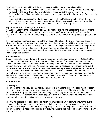- A first-aid kit stocked with basic items unless a specified First Aid area is provided.
- Blank copyright forms and a list of schools that have not turned them in (provided the morning of the event by the CC). These forms are turned in to the CC at the end of the event.
- Credentials for the Directors and a credential signature page (provided the morning of the event by the CC).
- If your event has percussion/winds, please confirm with the Directors whether or not they will be utilizing their assigned practice room time or if they will only be practicing outside. Relay this information to the CC AND the timekeepers in the respective warm up room.

#### **Digital Recorders, Tablets, and Runners**

All Judges; Color Guard, Percussion, and Winds, will use tablets and headsets to make comments for each unit. All commentaries are automatically sent to CS for review by the CC and for the Directors to listen to prior to entering critique. All required equipment for this process is provided by AIA.

If for some reason there are issues with the tablets and headsets, the CC will need to distribute digital recorders to the judges for unit commentary. The commentary will be uploaded to CS by the AIA Sound Tech for Director listening. If AIA must use the digital recorders, it is the event partner's responsibility to provide at least two or three student runners to gather and swap the digital recorders. The CC will train the runners the morning of the event to ensure they are fully aware of what is expected of them.

#### **Student Hosts**

Student hosts should be offered to the unit Director for the following classes only: CGES, CGMS, CGSRA2, CGSRA1, IRA, and PSRA. Keep a minimal number of students to serve as Student Hosts near unit check-in in the event a Director accepts the offer of a student host to assist them through their warm up transition. Please ensure your student hosts are well versed on the event, has a final schedule, maps, and flows. It is imperative that they are knowledgeable about all aspects of the event as the units noted above may be novice units with novice Directors and may be unfamiliar with an event process. Ensure the students hosts are courteous, outgoing, and friendly and ensure they report any issues to the CC. All other performing classes will not be offered a student host nor should one be assigned to them for any reason.

#### **Warm up Areas**

#### **Timekeepers**

The event partner will provide only **adult volunteers** to act as timekeeper for each warm up room. AIA does not want to put a student volunteer in to a situation where a Director or staff member of a unit challenges or questions the student on timing issues during warm up. Prior to each event beginning, the CC will meet with the timekeepers to ensure they understand how the time is to be kept and will be sure the individual is comfortable with this job.

The CC will prepare a detailed schedule which the timekeepers must follow to ensure the event remains on time throughout the day. Warm up timing intervals are determined by the units classification and specifics on how to properly keep time are noted on pages 23-25 of this handbook. The event partner is not permitted under any circumstances to add additional warm up time to a unit's warm up interval.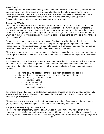# **Color Guard**

Each color guard unit will receive one (1) interval time of body warm up and one (1) interval time of equipment warm up. Color guard units are permitted to play their show music during warm; however, in the event the warm up space is shared, the units must be considerate of each other. Color guard units are not permitted to spin equipment during their body warm up interval. Equipment is only permitted during the equipment warm up interval.

#### **Percussion/Winds**

Two indoor warm up areas are also required for percussion/winds (Warm Up A and Warm Up B). Each unit will only use one area; however, due to the length of their warm up time, two rooms are run simultaneously. It is helpful to assign the units to a warm up room and either post the schedule with the units assigned to that room highlight OR created a sign that notes the name of the unit to warm up in that room (this is prepared for the event partner in the North as unit size is a key factor in this assignment).

Percussion units may choose to warm-up outside. The Director will make this decision based on the weather conditions. It is imperative that the event partner be prepared to provide information regarding county noise ordinances. It is also not unusual for a percussion unit that has warmed up outside to come inside at their scheduled time to continue with warm up.

The event partner must ensure there are current schedules provided to the timekeepers and that the timekeepers are informed when a unit is a "no show" or when a unit decides to just warm up outside.

#### **Website**

It is the responsibility of the event partner to have documents detailing performance flow and venue provided to the CC immediately upon notification that your facility has been selected to host an event; if you did not include this information with your host application. These documents should include:

- site map detailing spectator parking, equipment un/loading, bus parking
- site map detailing warm up areas and pathways from one to the next
- site map detailing performance area
	- spectator seating
	- spectator entry /exit
	- performer entry/exit
	- competition timing line

Information provided during your contest host application process will be provided to member units via AIA's website. Any additions or corrections to the information about your contest should be emailed to **[your](mailto:web@atlanticindoor.org) region's CC**.

The website is also where you can find information on AIA points of contacts, scholarships, color guard, percussion, and winds specific information, AIA Governing documents, etc.

#### **Copyright, Photography, and Videography**

There is no flash photography allowed at any AIA sanctioned events. Any video taken at AIA sanctioned events is for personal use only and may not be posted or made public in anyway. As part of the agreement between the AIA and its member organizations, AIA requires all participating groups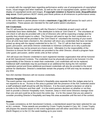to comply with the copyright laws regarding performance and/or use of arrangements of copyrighted music, visual images and other materials, as well as the use of copyrighted audio, spoken text and display of copyrighted words and images. **If copyright violation is found to exist, disqualification may occur.** Event partners MUST clearly post these policies at all entrances to performance areas.

#### **Unit Staff/Volunteer Wristbands**

In the unit's check-in packet please include a **maximum** of **ten (10)** staff passes for each unit in competition. These passes are intended for the staff and/or parent volunteers.

#### **AIA Credentials**

The CC will provide the event partner with the Director's Credentials at each event until all credentials have been distributed. This distribution is done at "Unit Check In". The volunteers at unit check in will also be provided with a list of Directors who will be expecting a badge and the quantity they should expect to collect. The Directors will need to sign for their credentials on a signature page that will be provided to the "Unit Check In" volunteers the morning of your event. Once all units have been checked in, the volunteer will return any credentials that have not been picked up along with the signed credential list to the CC. The CC will do their best to separate guard, percussion, and winds Director credentials to minimize confusion as to why a particular Director badge may not be present at a future event. Ultimately it is the responsibility of the Directors to ensure the AIA credentials are provided to the other Director; should a program have color guard, percussion, and/or winds units at their school.

AIA will issue one Director credential to each registered member organization that will be honored at all AIA Sanctioned Contests. The credential must be physically present to be honored. It is the responsibility of the Director to retain their credentials. Lost credentials will not be replaced. Additional staff credentials may be purchased at an additional fee during the AIA member registration period and those additional purchased credentials will also be provided to the event partner for distribution. Director's credentials remain the property of AIA and may be revoked at any time.

Non-AIA member Directors will not receive credentials.

#### **Director Hospitality**

The event partner may provide a Director's Hospitality area separate from the Judges area but is not required to do so. Access to this area is granted with the presence of the AIA credential and/or a staff wristband (staff should be with the Director). It is the event partner's decision on what to provide to the Directors and their staff. It is the event partners decision on whether or not they wish to provide a Director Hospitality room; however, keep in mind some Directors manage more than one unit and could be at the event the entire day. It is for this reason that you are asked to consider providing Director's Hospitality and keep this area accessible until the end of the contest.

#### **Awards**

To create consistency at AIA Sanctioned Contests, a standardized award has been selected for use at ALL contests. These awards are provided by Crown Trophy located in Cary, NC. Crown Trophy will prepare the awards based on the event registration and will either send them to the event host (North Region) or to the CC the week leading up to your event.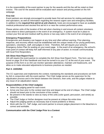It is the responsibility of the event partner to pay for the awards and this fee will be noted on their invoice. The cost for the awards will be evaluated each season and pricing posted on the AIA webpage.

#### **First Aid**

Event partners are strongly encouraged to provide basic first aid services for visiting participants and spectators, as well as information regarding the nearest urgent care and emergency facilities. In addition to the **required first aid kit at unit check-in**, hosts are encouraged to have an available medical professional and stocked first aid kit in or near the contest performance area.

Please advise units of the location of first aid when checking in and ensure all contest volunteers know where to direct participants in the event of an emergency. A system must be in place to contact your first aid and medical staff by phone or two-way radio in the event of an emergency.

#### **Emergency Preparedness**

Emergencies and disasters can happen at any time and often without warning. Prior planning, response, and recovery efforts must be established with the unique needs of our young performers, spectators, volunteers, staff, and judges in mind. Therefore; AIA will require your school's Emergency Action Plan for posting on your event page. In the event of an emergency, the school's main point of contact will keep AIA staff informed of any plan of action; to include communicating with local First Responders.

#### **AIA Show Host Report Form**

AIA will require the event partner to complete the AIA Show Host Report Form. This form can be found on page 29 of this handbook and must be turned in to your CC at the end of your event. The purpose of this form is so AIA can monitor spectator attendance, maintain unit headcounts, and allow us to make educated adjustments to business practices as needed.

#### **Part 3: JUDGING**

The CC supervises and implements the contest; maintaining the standards and procedures set forth by AIA in conjunction with the event partner. The Chief Judge serves as the supervisor for the adjudication process and is the liaison between the Directors, their units, and the judges relative to any issue of an adjudication nature.

#### **Responsibilities of the Chief Judge(s)**

- Select the judging panel for each event.
- Arrive one hour prior to the contest start time and depart at the end of critique. The Chief Judge should not leave prior to the conclusion of the contest.
- Be present in the stands to view as many of the units (color guard, percussion, and winds) as possible.
- The Chief Judge or his/her designee must be present at critique the entire time.
- Adjust the judging panels as necessary due to travel problems or illness.
- Work with the CC, T&P Judge, and event partner to ensure judges placement in the bleachers is correct and workable.

#### **Communication with the Chief Judge Prior to a Contest**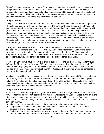The CC communicates with the Judge's Coordinators no later than one week prior to the contest. The purpose of this communication is to review the schedule of the weekend, review all logistics, transportation, accommodation, contest and critique issues, and to assure the smooth execution of the contest. The CC will be responsible for communicating these agreements (as appropriate) with the event partner to assure these responsibilities are handled.

#### **Judges Critique**

Critique is an extremely important part of the contest experience and must occur whenever possible. The critique procedure will be agreed upon prior to the contest. Critique sign up will be through CS and notification will be issued via the AIA Facebook Page and CS Messaging. Critique sign up will go live either the same day the draft schedule is posted or shortly thereafter. Sign up will be allowed until noon the Friday before a contest. It is the responsibility of the Unit Director to register for critique. If a unit has not registered for critique and there are still critique slots available, the volunteer(s) at "Unit Check In" may send the Director to the CC for addition to the Judge's Critique. The critique location should be a room separate from dressing areas, contest sites, lunchrooms, etc. The T&P Judge or CC will time and expedite the critique.

Colorguard Critique will have four units at once in the process; one table for General Effect (GE), one table for Equipment, one table for Movement, and one table for Design. Units rotate from one table to the next, giving a full 12 minutes with the judging panel, or three (3) minutes per table. Requests for full panel critiques will be handled on a case-by-case basis through the Chief Judge, and if approved, would be scheduled at the end of the critique for all other units.

Percussion Critique will have four units at once in the process; one table for Visual, one for Visual GE, one for Music and one for Music GE. Units rotate from one table to the next, giving a full 12 minutes with the judging panel, or three (3) min per table. Requests for full panel critiques will be handled on a case-by-case basis through the Chief Judge, and, if approved, would be scheduled at the end of the critique for all other units.

Winds Critique will have three units at once in the process; one table for Overall Effect, one table for Music Analysis, and one table for Visual Analysis. Units rotate from one table to the next, giving a full nine (9) minutes with the judging panel, or three (3) minutes per table. Requests for full panel critiques will be handled on a case by case basis through the Chief Judge, and, if approved, will be scheduled at the end of the critique for all other units.

#### **Judges and AIA Staff Meals**

While most sponsors do a superb and generous job in this area, this segment will serve as an aid for new sponsors or for those few sponsors who may not understand the Judges' needs during an event of this nature. Meals and refreshments should be provided for all judges, Sound Engineer, Announcer, CC, and tabulator(s). A total headcount will depend on the schedule and will be provided to you by the CC.

- The CC will provide details based on the schedule for what meals should be planned.
- Judges should **never** be directed to the event concessions for their meal based on time considerations to keep the event on schedule.
- Coffee and tea in the morning is extremely important. In the case of a Judges early departures from home or the hotel, breakfast or lunch when they arrive maybe appropriate. If you are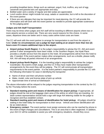providing breakfast items, things such as oatmeal, yogurt, fruit, muffins, any sort of egg casserole and granola bars are appropriate and easy.

- Bottled water and a variety of regular and diet sodas are appreciated.
- Lunch and/or dinner might include hot soup, salads or casseroles, but is left to the discretion of the event partner.
- If there are any allergies that may be important for meal planning, the CC will provide this information and will work with the event partner as needed to provide appropriate sustenance for the judging panel.

#### **Judges and AIA Staff Transportation**

There may be times when judges and AIA staff will be traveling to different airports where two or more airports service a contest site. There are very sound reasons for this choice. In some cases, departure times are better and in many cases airline ticket costs are lower.

The CC will work with the event partner to arrange for transportation to and from the airport or hotel. **Under no circumstances can a judge be kept waiting at an airport more than two (2) hours even if it means additional trips to the airport.**

- **Airport pickup South Region:** It is the judge's responsibility to advise the CC, AIA and event partner if other arrangements have been made. In the Southern Region, the Hyatt Place provides a shuttle service from the airport to the hotel. All arrangements will be from the hotel to site, if needed. If the event partner makes other arrangements, such as a shuttle, please notify AIA. AIA will keep all parties informed of air arrangements.
- **Airport pickup North Region:** It is the traveling judge's responsibility to advise the Judge's Coordinator, the event's Chief Judge, and the CC if they have made other transportation arrangements for the event they will be judging. The CC will communicate all transportation requirements to the event partner. It is the event partner's responsibility to provide the CC with the following information for ease in identifying the transporter:
	- Name of driver and their cell phone number
	- Make, model, color and license plate of pick up vehicle
	- Approximate time of arrival at hotel/airport

The above information will be relayed to the judges requiring transportation to the contest by the CC by the Thursday before the event.

- **Standard meeting point and means of identification for airport pickup:** If appropriate, all judges should be met at the baggage claim area of the airline on which they are traveling. An adult contest representative should hold a sign with large AIA lettering visible for the judge to recognize and thus establish contact.
- **Standard meeting point and means of identification for hotel pickup:** All judges should be waiting in the hotel lobby for transportation to their venue. Vehicle and driver identification will be as noted above.
- **Emergency contact:** The event partner must assign someone who can be reached by phone in the event of flight changes and cancellations. This is an area that is often neglected. In addition, your AIA CC will be available to assist you with emergency situations, should they occur.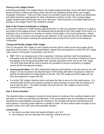#### **Privacy in the Judge's Room**

Individuals permitted in the Judge's Room are Judges judging that day's event, AIA staff, Executive Board of Director Officers (as long as their units are not competing at that show), and Judge's Hospitality Volunteers. There are often issues of a sensitive nature that may need to be addressed, and which would be inappropriate for other individuals to witness or hear. Non-working judges, judges' families and/or friends are not to be in this area. There should be a consistent approach to security in the Judges' Room from contest to contest.

# **Role of the Contest Coordinator in Judging**

In the event a Director or Staff member approaches the CC with any questions relative to a judge or any phase of the judging process, that individual will be directed to the Chief Judge of the event. It is important not to comment on or express an opinion of any judge or the scoring procedure. Advise the Chief Judge if concerns are brought to your attention, to be sure that they can be addressed. Be aware that all information involving the adjudication and scoring of the event is to be treated as confidential.

# **Timing and Penalty Judges (T&P Judge)**

The CC will assign T&P Judges to AIA contests and they will be noted on the event pages at the beginning of the season. For rule interpretations, please direct all questions to either the T&P Judge, Color Guard or Percussion Coordinators, and the CC.

- **T&P:** T&P is an important part of the competition. Directors and their staff must familiarize themselves with the WGI Rule Book for their unit (Color Guard, Percussion or Winds) to ensure knowledge of the timing and penalties that could be assessed to their unit by the T&P Judge. The WGI Rule book will be used to assess any penalties to ensure consistency of judging across all AIA and regional contests.
- **Assessing Penalties:** The WGI Adjudication Manual and Rulebook is the last word for the T&P Judge. On rare occasions, the physical layout of the facility will make it necessary to allow for special considerations for timing based on the site. The T&P Judge and Chief Judge will use their best judgment in cases like this.
- It is at the T&P Judge's direction that a unit takes the floor to set up for their performance. It is recommended that the event partner provide an adult volunteer to assist with the release of a unit to take the floor. This adult volunteer will work with the T&P Judge to ensure timely movement of the contest.

# **Part 4: Event Checklist**

The checklist below is designed to assist the event partner in tending to the countless details which will make a contest run smoothly and efficiently. If the event partner sets up committees to evenly distribute the responsibilities amongst the volunteers, the checklist will aid that individual and the event partner in assuring proper attention to details is made. All items below might not apply to your specific contest, but it will cover every possible situation.

# **Contest Site**

- two warm up areas; body and equipment/warm up A & B
- unit entrance and exit separate from spectator entrance and exit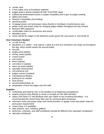- vendor area
- 5 foot safety zone at front/back sidelines
- judges area in stands (marked off with "CAUTION" tape)
- coffee/cold drinks/water/snacks in judges hospitality and in gym at judges seating
- tables and chairs
- Director's Hospitality (if providing)
- electrical power
- 12 gauge power cord and power strips (South) in front/back of performance area
- power cords and power strips for charging judges tablets throughout the day (South)
- School's WiFi password
- comfortable chairs for announcer and sound
- tabulation area
- music stands for judges in the bleachers (color guard 5/6, percussion 4, and winds 3)

#### **Host Volunteers Needed**

- on site first aid
- tabulators (1-2 adults only require 1 adult at a time but volunteers can swap out throughout the day; which would require the second adult)
- security
- judges area (adults)
- money areas (adults)
- crowd control
- unit control
- doors (adults)
- unit check in (adults)
- warm up areas (adults)
- spectator entrance/exit
- unit entrance/ exit
- judges runners (student)
- miscellaneous floaters
- parking lot as needed
- food service
- servers/sellers/clean up
- preparation of food for judges and AIA staff

#### **Supplies**

- credentials (provided by AIA, to be handed out at beginning competitions)
- awards (may be sent directly to venue or brought an AIA staff member)
- radios (AIA North CC will distribute their own radios to key locations/volunteers. It is recommended the school have their own for communication purposes)
- extension cords and power strips (AIA North provides 12 gauge cords and power strips for percussion requirement)
- cones (have 2-6 available)
- tape (caution, duct, masking, gaffers)
- performer, volunteer, and staff wristbands (should be different from spectator wristbands)
- spectator wristbands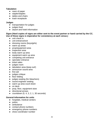#### **Tabulation**

- ream of paper
- stapler/staples
- tables and chairs
- trash receptacle

#### **Judges**

- transportation for judges
- judges food
- airport and hotel information

#### **Signs (Hard copies of signs are either sent to the event partner or hand carried by the CC. Use of these signs is imperative for consistency at each venue.)**

- unit check in
- unit entrance/exit
- dressing rooms (boys/girls)
- warm up areas
- prop/equipment area
- inspection area
- body warm up area
- equipment warm up area
- competing unit entrance
- spectator entrance
- ticket sales
- judges room
- tabulation area (keep out!)
- announcer sound area
- first aid
- judges critique
- floor folding
- judges seating (for bleachers)
- sound engineer seating
- warm up area count down
- on deck
- prop, floor, equipment stow
- directional arrows
- $\bullet$  countdown  $(5, 4, 3, 2, 1, 30$  seconds)

#### **General Information for units**

- hospitals, medical centers
- police
- ambulance
- contact phone numbers
- emergency phone numbers
- show coordinator number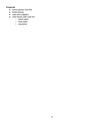#### **Financial**

- event partner host fee
- ticket pricing
- cash and supplies
- cash boxes with cash for:
	- ticket sales
	- food sales
	- souvenirs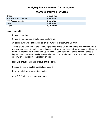# **Body/Equipment Warmup for Colorguard**

# **Warm-up Intervals for Class**

| Class              | Interval Time |
|--------------------|---------------|
| ES, MS, SRA1, SRA2 | 7 minutes     |
| A3, A2, A1, Senior | 8 minutes     |
| Open               | 9 minutes     |
| World              | 10 minutes    |

You must provide:

2-minute warning

1-minute warning (unit should begin packing up)

30 second warning (unit should be on their way out of the warm up area)

- Timing starts according to the schedule provided by the CC and/or as the first member enters the warm up area. If a unit is late arriving to their warm up, then their warm up time will consist of the time remaining in their warm up time slot. Strict adherence to the warm up times is imperative to keeping a heavily registered event on schedule and to ensure all units have an opportunity to participate in judges' critique.
- Next unit should enter as previous unit is exiting.
- Stick as closely to posted schedule as possible!
- First Line of defense against timing issues.
- Alert CC if unit is late or does not show.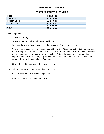# **Percussion Warm Ups**

# **Warm-up Intervals for Class**

| Class               | Interval Time |
|---------------------|---------------|
| <b>Concert A</b>    | 18 minutes    |
| <b>Concert Open</b> | 20 minutes    |
| <b>PSRA, PSA</b>    | 18 minutes    |
| <b>PSO</b>          | 20 minutes    |
| <b>PSW</b>          | 22 minutes    |

You must provide:

2-minute warning

1-minute warning (unit should begin packing up)

30 second warning (unit should be on their way out of the warm up area)

- Timing starts according to the schedule provided by the CC and/or as the first member enters the warm up area. If a unit is late arriving to their warm up, then their warm up time will consist of the time remaining in their warm up time slot. Strict adherence to the warm up times is imperative to keeping a heavily registered event on schedule and to ensure all units have an opportunity to participate in judges' critique.
- Next unit should enter as previous unit is exiting.
- Stick as closely to posted schedule as possible!
- First Line of defense against timing issues.
- Alert CC if unit is late or does not show.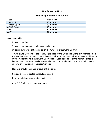# **Winds Warm Ups**

# **Warm-up Intervals for Class**

| <b>Class</b>        | Interval Time |
|---------------------|---------------|
| <b>Concert A</b>    | 18 minutes    |
| <b>Concert Open</b> | 20 minutes    |
| WSRA, WSA           | 18 minutes    |
| <b>WSO</b>          | 20 minutes    |
| <b>WSW</b>          | 22 minutes    |

You must provide:

2-minute warning

1-minute warning (unit should begin packing up)

30 second warning (unit should be on their way out of the warm up area)

- Timing starts according to the schedule provided by the CC and/or as the first member enters the warm up area. If a unit is late arriving to their warm up, then their warm up time will consist of the time remaining in their warm up time slot. Strict adherence to the warm up times is imperative to keeping a heavily registered event on schedule and to ensure all units have an opportunity to participate in judges' critique.
- Next unit should enter as previous unit is exiting.
- Stick as closely to posted schedule as possible!
- First Line of defense against timing issues.
- Alert CC if unit is late or does not show.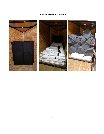# **TRAILER LOADING IMAGES**

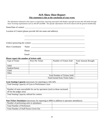# **AIA Show Host Report This statement is due at the conclusion of your event:**

*The information obtained in this report is required for reporting associated with blanket copyright licenses that AIA holds through music licensing organizations such as ASCAP and BMI. The specific information will not be shared with the general membership.* 

Name/Date of contest:

Location of Contest (please provide full site name and address):

Unit(s) sponsoring the contest:  $\frac{1}{\sqrt{1-\frac{1}{2}}\sqrt{1-\frac{1}{2}}\sqrt{1-\frac{1}{2}}\sqrt{1-\frac{1}{2}}\sqrt{1-\frac{1}{2}}\sqrt{1-\frac{1}{2}}\sqrt{1-\frac{1}{2}}\sqrt{1-\frac{1}{2}}\sqrt{1-\frac{1}{2}}\sqrt{1-\frac{1}{2}}\sqrt{1-\frac{1}{2}}\sqrt{1-\frac{1}{2}}\sqrt{1-\frac{1}{2}}\sqrt{1-\frac{1}{2}}\sqrt{1-\frac{1}{2}}\sqrt{1-\frac{1}{2}}\sqrt{1-\frac{$ 

Show Coordinator Name: \_\_\_\_\_\_\_\_\_\_\_\_\_\_\_\_\_\_\_\_\_\_\_\_\_\_\_\_\_\_\_\_\_\_\_\_\_\_\_\_\_\_\_\_\_\_\_\_\_\_\_\_\_

Phone: \_\_\_\_\_\_\_\_\_\_\_\_\_\_\_\_\_\_\_\_\_\_\_\_\_\_\_\_\_\_\_\_\_\_\_\_\_\_\_\_\_\_\_\_\_\_\_\_\_\_\_\_\_ Email:

\_\_\_\_\_\_\_\_\_\_\_\_\_\_\_\_\_\_\_\_\_\_\_\_\_\_\_\_\_\_\_\_\_\_\_\_\_\_\_\_\_\_\_\_\_\_\_\_\_\_\_\_\_\_\_\_\_\_\_

 $\mathcal{L}_\text{max} = \mathcal{L}_\text{max} = \mathcal{L}_\text{max} = \mathcal{L}_\text{max} = \mathcal{L}_\text{max} = \mathcal{L}_\text{max} = \mathcal{L}_\text{max} = \mathcal{L}_\text{max} = \mathcal{L}_\text{max} = \mathcal{L}_\text{max} = \mathcal{L}_\text{max} = \mathcal{L}_\text{max} = \mathcal{L}_\text{max} = \mathcal{L}_\text{max} = \mathcal{L}_\text{max} = \mathcal{L}_\text{max} = \mathcal{L}_\text{max} = \mathcal{L}_\text{max} = \mathcal{$ 

#### **Please report the number of tickets sold:**

| Type of Ticket                         | Price Per Ticket | Number of Tickets Sold | <b>Total Amount Brought</b> |
|----------------------------------------|------------------|------------------------|-----------------------------|
|                                        |                  |                        | In:                         |
| Adult                                  |                  |                        |                             |
| Student/Senior                         |                  |                        |                             |
| Child                                  |                  |                        |                             |
| Other                                  |                  |                        |                             |
| <b>Total Number of Tickets Sold:</b>   |                  |                        |                             |
| <b>Total Earned from Ticket Sales:</b> |                  |                        |                             |

#### **Gym Seating Capacity** (necessary for reporting to ASCAP):

| Total Seating Capacity of Gym or Performance Area                                                      |  |
|--------------------------------------------------------------------------------------------------------|--|
| Number of seats unavailable for use by spectators (such as those sectioned<br>off for the judges area) |  |
| Total Seating Capacity utilized for contest:                                                           |  |

#### **Non-Ticket Attendance** (necessary for reporting to BMI in addition to spectator attendance):

| Number of performing units in attendance      |  |
|-----------------------------------------------|--|
| <b>Total Number of Performers</b>             |  |
| <b>Total Number of Staff Passes Given Out</b> |  |